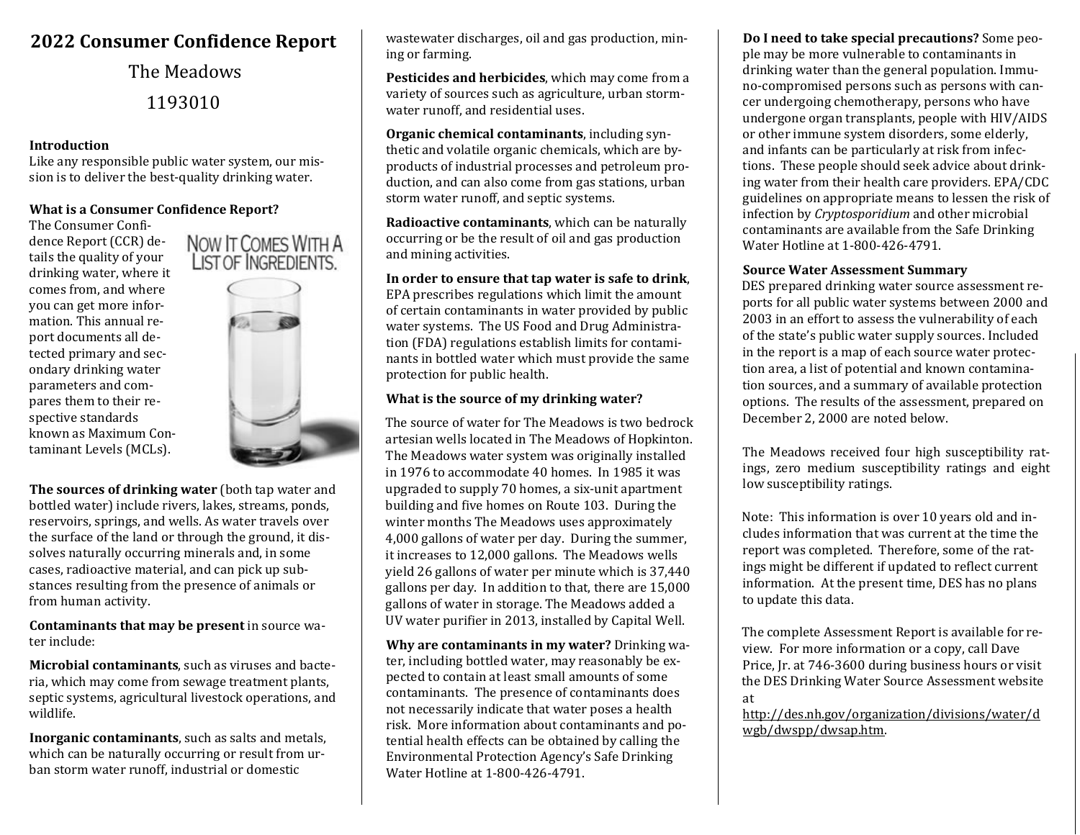# **2022 Consumer Confidence Report**

The Meadows 1193010

#### **Introduction**

Like any responsible public water system, our mission is to deliver the best-quality drinking water.

# **What is a Consumer Confidence Report?**

The Consumer Confidence Report (CCR) details the quality of your drinking water, where it comes from, and where you can get more information. This annual report documents all detected primary and secondary drinking water parameters and compares them to their respective standards known as Maximum Contaminant Levels (MCLs).



NOW IT COMES WITH A **LIST OF INGREDIENTS.** 

**The sources of drinking water** (both tap water and bottled water) include rivers, lakes, streams, ponds, reservoirs, springs, and wells. As water travels over the surface of the land or through the ground, it dissolves naturally occurring minerals and, in some cases, radioactive material, and can pick up substances resulting from the presence of animals or from human activity.

**Contaminants that may be present** in source water include:

**Microbial contaminants**, such as viruses and bacteria, which may come from sewage treatment plants, septic systems, agricultural livestock operations, and wildlife.

**Inorganic contaminants**, such as salts and metals, which can be naturally occurring or result from urban storm water runoff, industrial or domestic

wastewater discharges, oil and gas production, mining or farming.

**Pesticides and herbicides**, which may come from a variety of sources such as agriculture, urban stormwater runoff, and residential uses.

**Organic chemical contaminants**, including synthetic and volatile organic chemicals, which are byproducts of industrial processes and petroleum production, and can also come from gas stations, urban storm water runoff, and septic systems.

**Radioactive contaminants**, which can be naturally occurring or be the result of oil and gas production and mining activities.

**In order to ensure that tap water is safe to drink**, EPA prescribes regulations which limit the amount of certain contaminants in water provided by public water systems. The US Food and Drug Administration (FDA) regulations establish limits for contaminants in bottled water which must provide the same protection for public health.

# **What is the source of my drinking water?**

The source of water for The Meadows is two bedrock artesian wells located in The Meadows of Hopkinton. The Meadows water system was originally installed in 1976 to accommodate 40 homes. In 1985 it was upgraded to supply 70 homes, a six-unit apartment building and five homes on Route 103. During the winter months The Meadows uses approximately 4,000 gallons of water per day. During the summer, it increases to 12,000 gallons. The Meadows wells yield 26 gallons of water per minute which is 37,440 gallons per day. In addition to that, there are 15,000 gallons of water in storage. The Meadows added a UV water purifier in 2013, installed by Capital Well.

**Why are contaminants in my water?** Drinking water, including bottled water, may reasonably be expected to contain at least small amounts of some contaminants. The presence of contaminants does not necessarily indicate that water poses a health risk. More information about contaminants and potential health effects can be obtained by calling the Environmental Protection Agency's Safe Drinking Water Hotline at 1-800-426-4791.

**Do I need to take special precautions?** Some people may be more vulnerable to contaminants in drinking water than the general population. Immuno-compromised persons such as persons with cancer undergoing chemotherapy, persons who have undergone organ transplants, people with HIV/AIDS or other immune system disorders, some elderly, and infants can be particularly at risk from infections. These people should seek advice about drinking water from their health care providers. EPA/CDC guidelines on appropriate means to lessen the risk of infection by *Cryptosporidium* and other microbial contaminants are available from the Safe Drinking Water Hotline at 1-800-426-4791.

#### **Source Water Assessment Summary**

DES prepared drinking water source assessment reports for all public water systems between 2000 and 2003 in an effort to assess the vulnerability of each of the state's public water supply sources. Included in the report is a map of each source water protection area, a list of potential and known contamination sources, and a summary of available protection options. The results of the assessment, prepared on December 2, 2000 are noted below.

The Meadows received four high susceptibility ratings, zero medium susceptibility ratings and eight low susceptibility ratings.

Note: This information is over 10 years old and includes information that was current at the time the report was completed. Therefore, some of the ratings might be different if updated to reflect current information. At the present time, DES has no plans to update this data.

The complete Assessment Report is available for review. For more information or a copy, call Dave Price, Jr. at 746-3600 during business hours or visit the DES Drinking Water Source Assessment website at

[http://des.nh.gov/organization/divisions/water/d](http://des.nh.gov/organization/divisions/water/dwgb/dwspp/dwsap.htm)  [wgb/dwspp/dwsap.htm.](http://des.nh.gov/organization/divisions/water/dwgb/dwspp/dwsap.htm)